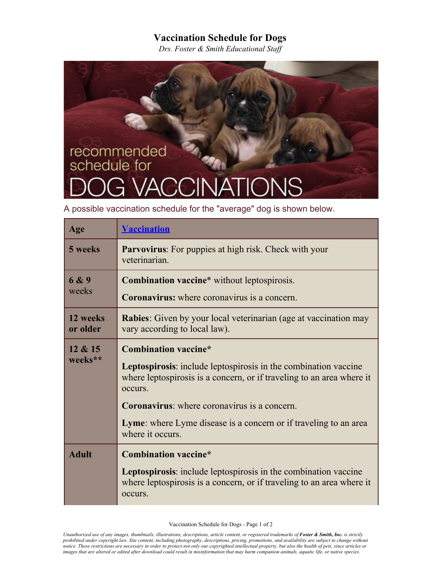## **Vaccination Schedule for Dogs**

*Drs. Foster & Smith Educational Staff* 

## recommended<br>schedule for

A possible vaccination schedule for the "average" dog is shown below.

| Age                  | <b>Vaccination</b>                                                                                                                                                                                                                                                                                                                       |
|----------------------|------------------------------------------------------------------------------------------------------------------------------------------------------------------------------------------------------------------------------------------------------------------------------------------------------------------------------------------|
| 5 weeks              | <b>Parvovirus:</b> For puppies at high risk. Check with your<br>veterinarian.                                                                                                                                                                                                                                                            |
| 6 & 9<br>weeks       | <b>Combination vaccine*</b> without leptospirosis.<br><b>Coronavirus:</b> where coronavirus is a concern.                                                                                                                                                                                                                                |
| 12 weeks<br>or older | <b>Rabies:</b> Given by your local veterinarian (age at vaccination may<br>vary according to local law).                                                                                                                                                                                                                                 |
| 12 & 15<br>weeks**   | <b>Combination vaccine*</b><br><b>Leptospirosis:</b> include leptospirosis in the combination vaccine<br>where leptospirosis is a concern, or if traveling to an area where it<br>occurs.<br><b>Coronavirus:</b> where coronavirus is a concern.<br>Lyme: where Lyme disease is a concern or if traveling to an area<br>where it occurs. |
| <b>Adult</b>         | <b>Combination vaccine*</b><br>Leptospirosis: include leptospirosis in the combination vaccine<br>where leptospirosis is a concern, or if traveling to an area where it<br>occurs.                                                                                                                                                       |

Vaccination Schedule for Dogs - Page 1 of 2